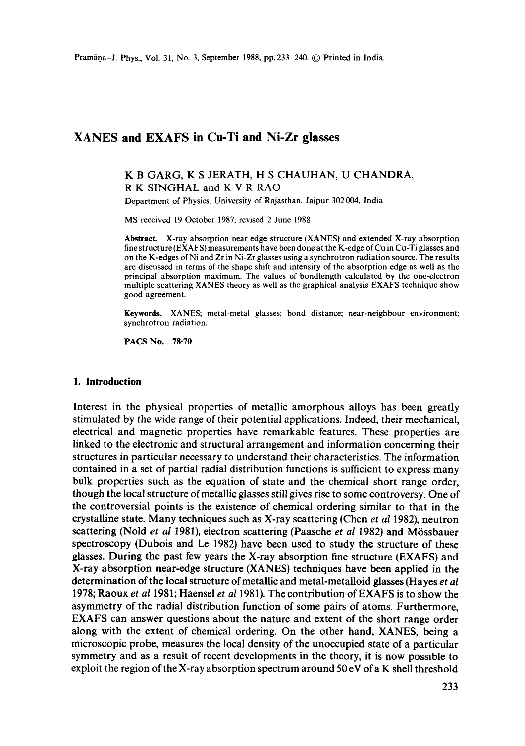### **XANES and EXAFS in Cu-Ti and Ni-Zr glasses**

### K B GARG, K S JERATH, H S CHAUHAN, U CHANDRA, R K SINGHAL and K V R RAO

Department of Physics, University of Rajasthan, Jaipur 302004, India

MS received 19 October 1987; revised 2 June 1988

**Abstract.** X-ray absorption near edge structure (XANES) and extended X-ray absorption fine structure (EXAFS) measurements have been done at the K-edge of Cu in Cu-Ti glasses and on the K-edges of Ni and Zr in Ni-Zr glasses using a synchrotron radiation source. The results are discussed in terms of the shape shift and intensity of the absorption edge as well as the principal absorption maximum. The values of bondlength calculated by the one-electron multiple scattering XANES theory as well as the graphical analysis EXAFS technique show good agreement.

**Keywords.** XANES; metal-metal glasses; bond distance; near-neighbour environment; synchrotron radiation.

PACS No. 78.70

#### **1. Introduction**

Interest in the physical properties of metallic amorphous alloys has been greatly stimulated by the wide range of their potential applications. Indeed, their mechanical, electrical and magnetic properties have remarkable features. These properties are linked to the electronic and structural arrangement and information concerning their structures in particular necessary to understand their characteristics. The information contained in a set of partial radial distribution functions is sufficient to express many bulk properties such as the equation of state and the chemical short range order, though the local structure of metallic glasses still gives rise to some controversy. One of the controversial points is the existence of chemical ordering similar to that in the crystalline state. Many techniques such as X-ray scattering (Chen *et al* 1982), neutron scattering (Nold *et al 1981*), electron scattering (Paasche *et al 1982*) and Mössbauer spectroscopy (Dubois and Le 1982) have been used to study the structure of these glasses. During the past few years the X-ray absorption fine structure (EXAFS) and X-ray absorption near-edge structure (XANES) techniques have been applied in the determination of the local structure of metallic and metal-metalloid glasses (Hayes *et al*  1978; Raoux *et al* 1981; Haensel *et al* 1981). The contribution of EXAFS is to show the asymmetry of the radial distribution function of some pairs of atoms. Furthermore, EXAFS can answer questions about the nature and extent of the short range order along with the extent of chemical ordering. On the other hand, XANES, being a microscopic probe, measures the local density of the unoccupied state of a particular symmetry and as a result of recent developments in the theory, it is now possible to exploit the region of the X-ray absorption spectrum around 50 eV of a K shell threshold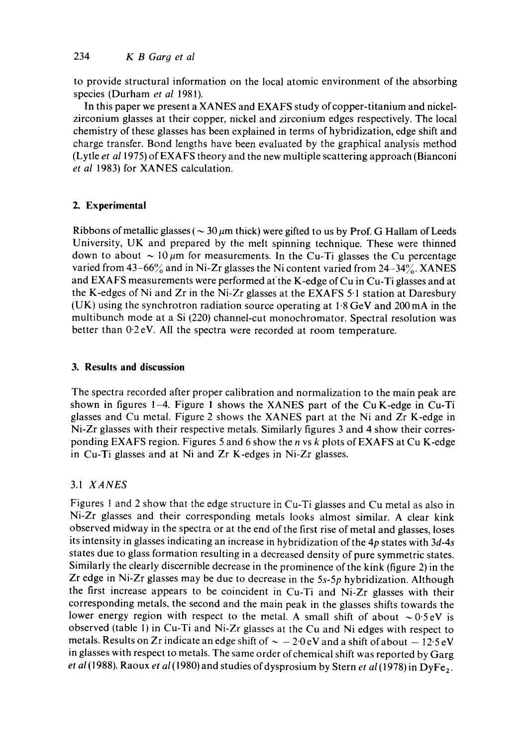to provide structural information on the local atomic environment of the absorbing species (Durham *et al* 1981).

In this paper we present a XANES and EXAFS study of copper-titanium and nickelzirconium glasses at their copper, nickel and zirconium edges respectively. The local chemistry of these glasses has been explained in terms of hybridization, edge shift and charge transfer. Bond lengths have been evaluated by the graphical analysis method (Lytle *et a11975)* of EXAFS theory and the new multiple scattering approach (Bianconi *et al* 1983) for XANES calculation.

# **2. Experimental**

Ribbons of metallic glasses ( $\sim 30 \mu$ m thick) were gifted to us by Prof. G Hallam of Leeds University, UK and prepared by the melt spinning technique. These were thinned down to about  $\sim 10 \mu m$  for measurements. In the Cu-Ti glasses the Cu percentage varied from  $43-66\%$  and in Ni-Zr glasses the Ni content varied from  $24-34\%$ . XANES and EXAFS measurements were performed at the K-edge of Cu in Cu-Ti glasses and at the K-edges of Ni and Zr in the Ni-Zr glasses at the EXAFS 5-1 station at Daresbury (UK) using the synchrotron radiation source operating at 1.8 GeV and 200 mA in the multibunch mode at a Si (220) channel-cut monochromator. Spectral resolution was better than 0.2 eV. All the spectra were recorded at room temperature.

## **3. Results and discussion**

The spectra recorded after proper calibration and normalization to the main peak are shown in figures 1-4. Figure 1 shows the XANES part of the Cu K-edge in Cu-Ti glasses and Cu metal. Figure 2 shows the XANES part at the Ni and Zr K-edge in Ni-Zr glasses with their respective metals. Similarly figures 3 and 4 show their corresponding EXAFS region. Figures 5 and 6 show the n vs k plots of EXAFS at Cu K-edge in Cu-Ti glasses and at Ni and Zr K-edges in Ni-Zr glasses.

# 3.1 *XANES*

Figures 1 and 2 show that the edge structure in Cu-Ti glasses and Cu metal as also in Ni-Zr glasses and their corresponding metals looks almost similar. A clear kink observed midway in the spectra or at the end of the first rise of metal and glasses, loses its intensity in glasses indicating an increase in hybridization of the 4p states with *3d-4s*  states due to glass formation resulting in a decreased density of pure symmetric states. Similarly the clearly discernible decrease in the prominence of the kink (figure 2) in the Zr edge in Ni-Zr glasses may be due to decrease in the *5s-5p* hybridization. Although the first increase appears to be coincident in Cu-Ti and Ni-Zr glasses with their corresponding metals, the second and the main peak in the glasses shifts towards the lower energy region with respect to the metal. A small shift of about  $\sim 0.5$ eV is observed (table 1) in Cu-Ti and Ni-Zr glasses at the Cu and Ni edges with respect to metals. Results on Zr indicate an edge shift of  $\sim -2.0 \text{ eV}$  and a shift of about  $-12.5 \text{ eV}$ in glasses with respect to metals. The same order of chemical shift was reported by Garg *et al* (1988). Raoux *et al* (1980) and studies of dysprosium by Stern *et al* (1978) in DyFe<sub>2</sub>.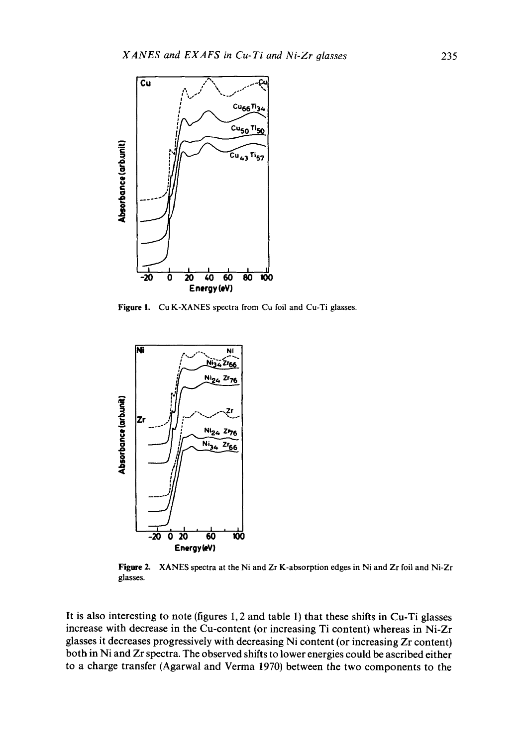

Figure 1. Cu K-XANES spectra from Cu foil and Cu-Ti glasses.



Figure 2. XANES spectra at the Ni and Zr K-absorption edges in Ni and Zr foil and Ni-Zr glasses.

It is also interesting to note (figures 1, 2 and table 1) that these shifts in Cu-Ti glasses increase with decrease in the Cu-content (or increasing Ti content) whereas in Ni-Zr glasses it decreases progressively with decreasing Ni content (or increasing Zr content) both in Ni and Zr spectra. The observed shifts to lower energies could be ascribed either to a charge transfer (Agarwal and Verma 1970) between the two components to the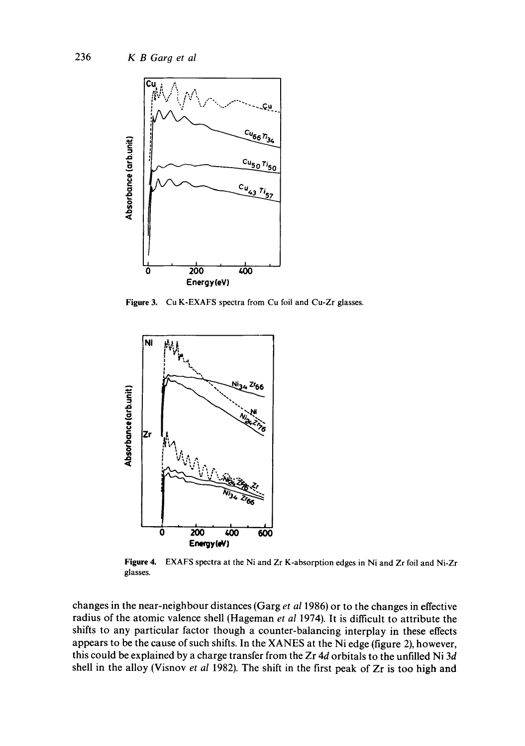

Figure 3. Cu K-EXAFS spectra from Cu foil and Cu-Zr glasses.



**Figure 4.**  EXAFS spectra at the Ni and Zr K-absorption edges in Ni and Zr foil and Ni-Zr glasses.

changes in the near-neighbour distances (Garg *et a11986)* or to the changes in effective radius of the atomic valence shell (Hageman *et al* 1974). It is difficult to attribute the shifts to any particular factor though a counter-balancing interplay in these effects appears to be the cause of such shifts. In the XANES at the Ni edge (figure 2), however, this could be explained by a charge transfer from the Zr 4d orbitals to the unfilled Ni 3d shell in the alloy (Visnov *et al* 1982). The shift in the first peak of Zr is too high and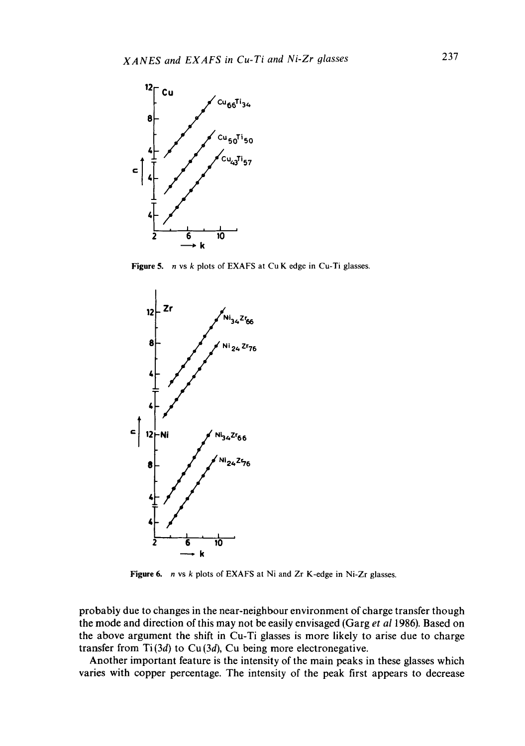

Figure 5. n vs k plots of EXAFS at Cu K edge in Cu-Ti glasses.



Figure 6. *n* vs *k* plots of EXAFS at Ni and Zr K-edge in Ni-Zr glasses.

probably due to changes in the near-neighbour environment of charge transfer though the mode and direction of this may not be easily envisaged (Garg *et a11986).* Based on the above argument the shift in Cu-Ti glasses is more likely to arise due to charge transfer from  $Ti(3d)$  to  $Cu(3d)$ ,  $Cu$  being more electronegative.

Another important feature is the intensity of the main peaks in these glasses which varies with copper percentage. The intensity of the peak first appears to decrease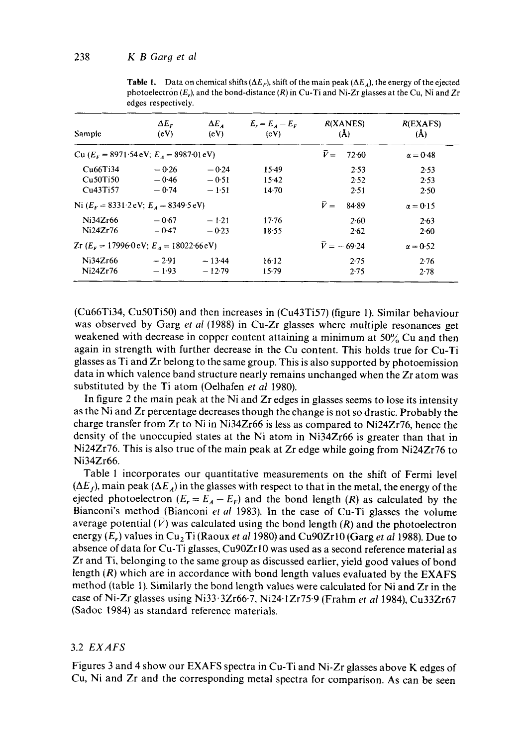| Sample                                                                    | $\Delta E_F$<br>(eV) | $\Delta E_{A}$<br>(eV) | $E_{\rm r} = E_{\rm A} - E_{\rm r}$<br>(eV) | R(XANES)<br>(A)      | R(EXAFS)<br>$(\AA)$ |
|---------------------------------------------------------------------------|----------------------|------------------------|---------------------------------------------|----------------------|---------------------|
| Cu $(E_F = 8971.54 \text{ eV}; E_A = 8987.01 \text{ eV})$                 |                      |                        |                                             | $\bar{V} =$<br>72.60 | $\alpha = 0.48$     |
| Cu66Ti34                                                                  | $-0.26$              | $-0.24$                | $15-49$                                     | 2.53                 | 2.53                |
| Cu50Ti50                                                                  | $-0.46$              | $-0.51$                | $15-42$                                     | 2.52                 | 2.53                |
| Cu43Ti57                                                                  | $-0.74$              | $-1.51$                | $14-70$                                     | 2.51                 | 2.50                |
| Ni $(EF = 8331.2$ eV; $EA = 8349.5$ eV)                                   |                      |                        |                                             | $\bar{V} =$<br>84.89 | $\alpha = 0.15$     |
| Ni34Zr66                                                                  | $-0.67$              | $-1.21$                | 17.76                                       | 2.60                 | 2.63                |
| Ni24Zr76                                                                  | $-0.47$              | $-0.23$                | 18.55                                       | 2.62                 | 2.60                |
| $Zr$ ( $E_r = 17996 \cdot 0 \cdot eV$ ; $E_A = 18022 \cdot 66 \cdot eV$ ) |                      |                        |                                             | $\bar{V} = -69.24$   | $\alpha = 0.52$     |
| Ni34Zr66                                                                  | $-2.91$              | $-13.44$               | 16.12                                       | 2.75                 | 2.76                |
| Ni24Zr76                                                                  | $-1.93$              | $-12.79$               | $15-79$                                     | 2.75                 | 2.78                |

**Table 1.** Data on chemical shifts ( $\Delta E_F$ ), shift of the main peak ( $\Delta E_A$ ), the energy of the ejected photoelectron *(E,),* and the bond-distance (R) in Cu-Ti and Ni-Zr glasses at the Cu, Ni and Zr edges respectively.

(Cu66Ti34, Cu50Ti50) and then increases in (Cu43Ti57) (figure 1). Similar behaviour was observed by Garg *et al* (1988) in Cu-Zr glasses where multiple resonances get weakened with decrease in copper content attaining a minimum at 50% Cu and then again in strength with further decrease in the Cu content. This holds true for Cu-Ti glasses as Ti and Zr belong to the same group. This is also supported by photoemission data in which valence band structure nearly remains unchanged when the Zr atom was substituted by the Ti atom (Oelhafen *et al* 1980).

In figure 2 the main peak at the Ni and Zr edges in glasses seems to lose its intensity as the Ni and Zr percentage decreases though the change is not so drastic. Probably the charge transfer from Zr to Ni in Ni34Zr66 is less as compared to Ni24Zr76, hence the density of the unoccupied states at the Ni atom in Ni34Zr66 is greater than that in Ni24Zr76. This is also true of the main peak at Zr edge while going from Ni24Zr76 to Ni34Zr66.

Table 1 incorporates our quantitative measurements on the shift of Fermi level  $(\Delta E_f)$ , main peak  $(\Delta E_A)$  in the glasses with respect to that in the metal, the energy of the ejected photoelectron  $(E_r = E_A - E_F)$  and the bond length  $(R)$  as calculated by the Bianconi's method (Bianconi *et al* 1983). In the case of Cu-Ti glasses the volume average potential  $(\bar{V})$  was calculated using the bond length  $(R)$  and the photoelectron energy (E<sub>r</sub>) values in Cu<sub>2</sub>Ti (Raoux *et al 1980)* and Cu90Zr10 (Garg *et al 1988)*. Due to absence of data for Cu-Ti glasses, Cu90Zrl0 was used as a second reference material as Zr and Ti, belonging to the same group as discussed earlier, yield good values of bond length  $(R)$  which are in accordance with bond length values evaluated by the EXAFS method (table 1). Similarly the bond length values were calculated for Ni and Zr in the case of Ni-Zr glasses using Ni33.3Zr66.7, Ni24.1Zr75.9 (Frahm *et al* 1984), Cu33Zr67 (Sadoc 1984) as standard reference materials.

### 3.2 *EXAFS*

Figures 3 and 4 show our EXAFS spectra in Cu-Ti and Ni-Zr glasses above K edges of Cu, Ni and Zr and the corresponding metal spectra for comparison. As can be seen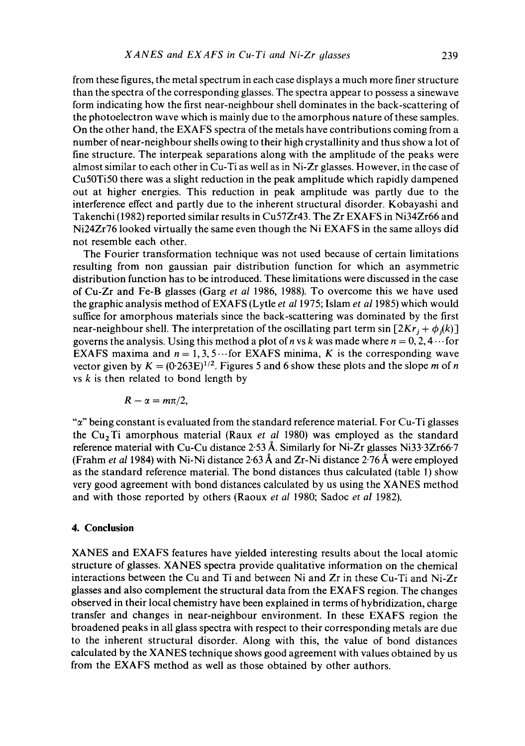from these figures, the metal spectrum in each case displays a much more finer structure than the spectra of the corresponding glasses. The spectra appear to possess a sinewave form indicating how the first near-neighbour shell dominates in the back-scattering of the photoelectron wave which is mainly due to the amorphous nature of these samples. On the other hand, the EXAFS spectra of the metals have contributions coming from a number of near-neighbour shells owing to their high crystallinity and thus show a lot of fine structure. The interpeak separations along with the amplitude of the peaks were almost similar to each other in Cu-Ti as well as in Ni-Zr glasses. However, in the case of Cu50Ti50 there was a slight reduction in the peak amplitude which rapidly dampened out at higher energies. This reduction in peak amplitude was partly due to the interference effect and partly due to the inherent structural disorder. Kobayashi and Takenchi (1982) reported similar results in Cu57Zr43. The Zr EXAFS in Ni34Zr66 and Ni24Zr76 looked virtually the same even though the Ni EXAFS in the same alloys did not resemble each other.

The Fourier transformation technique was not used because of certain limitations resulting from non gaussian pair distribution function for which an asymmetric distribution function has to be introduced. These limitations were discussed in the case of Cu-Zr and Fe-B glasses (Garg *et al* 1986, 1988). To overcome this we have used the graphic analysis method of EXAFS (Lytle *et a11975;* Islam *et a11985)* which would suffice for amorphous materials since the back-scattering was dominated by the first near-neighbour shell. The interpretation of the oscillating part term sin  $[2Kr, +\phi_i(k)]$ governs the analysis. Using this method a plot of n vs k was made where  $n = 0, 2, 4 \cdots$  for EXAFS maxima and  $n = 1, 3, 5 \cdots$  for EXAFS minima, K is the corresponding wave vector given by  $K = (0.263E)^{1/2}$ . Figures 5 and 6 show these plots and the slope m of n vs  $k$  is then related to bond length by

$$
R-\alpha=m\pi/2,
$$

" $\alpha$ " being constant is evaluated from the standard reference material. For Cu-Ti glasses the Cu<sub>2</sub>Ti amorphous material (Raux *et al 1980)* was employed as the standard reference material with Cu-Cu distance 2.53 Å. Similarly for Ni-Zr glasses Ni33.3Zr66.7 (Frahm *et al* 1984) with Ni-Ni distance  $2.63 \text{ Å}$  and Zr-Ni distance  $2.76 \text{ Å}$  were employed as the standard reference material. The bond distances thus calculated (table 1) show very good agreement with bond distances calculated by us using the XANES method and with those reported by others (Raoux *et al* 1980; Sadoc *et al* 1982).

### **4. Conclusion**

XANES and EXAFS features have yielded interesting results about the local atomic structure of glasses. XANES spectra provide qualitative information on the chemical interactions between the Cu and Ti and between Ni and Zr in these Cu-Ti and Ni-Zr glasses and also complement the structural data from the EXAFS region. The changes observed in their local chemistry have been explained in terms of hybridization, charge transfer and changes in near-neighbour environment. In these EXAFS region the broadened peaks in all glass spectra with respect to their corresponding metals are due to the inherent structural disorder. Along with this, the value of bond distances calculated by the XANES technique shows good agreement with values obtained by us from the EXAFS method as well as those obtained by other authors.